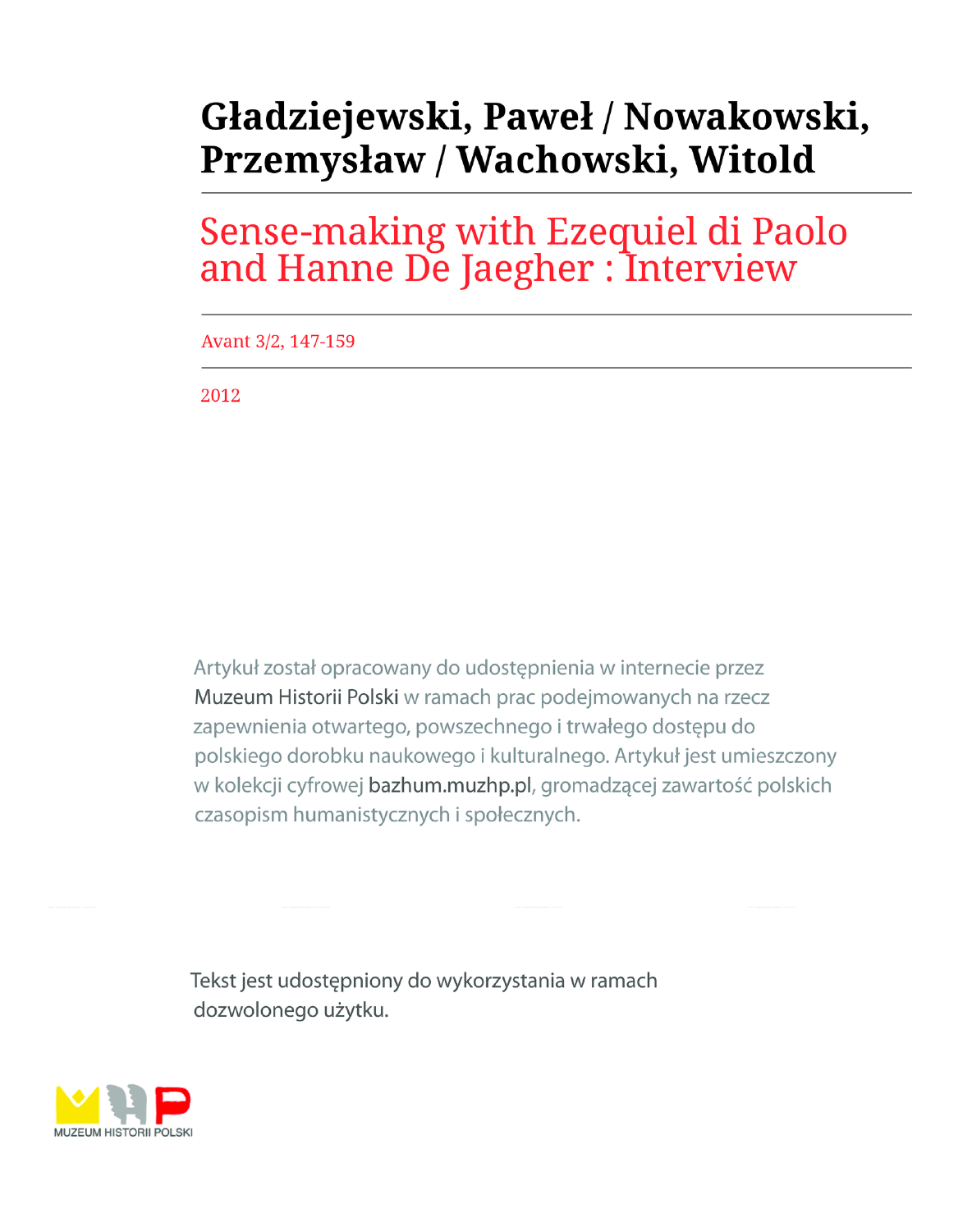# Gładziejewski, Paweł / Nowakowski, Przemysław / Wachowski, Witold

Sense-making with Ezequiel di Paolo and Hanne De Jaegher : Interview

Avant 3/2, 147-159

2012

Artykuł został opracowany do udostępnienia w internecie przez Muzeum Historii Polski w ramach prac podejmowanych na rzecz zapewnienia otwartego, powszechnego i trwałego dostępu do polskiego dorobku naukowego i kulturalnego. Artykuł jest umieszczony w kolekcji cyfrowej bazhum.muzhp.pl, gromadzącej zawartość polskich czasopism humanistycznych i społecznych.

Tekst jest udostępniony do wykorzystania w ramach dozwolonego użytku.

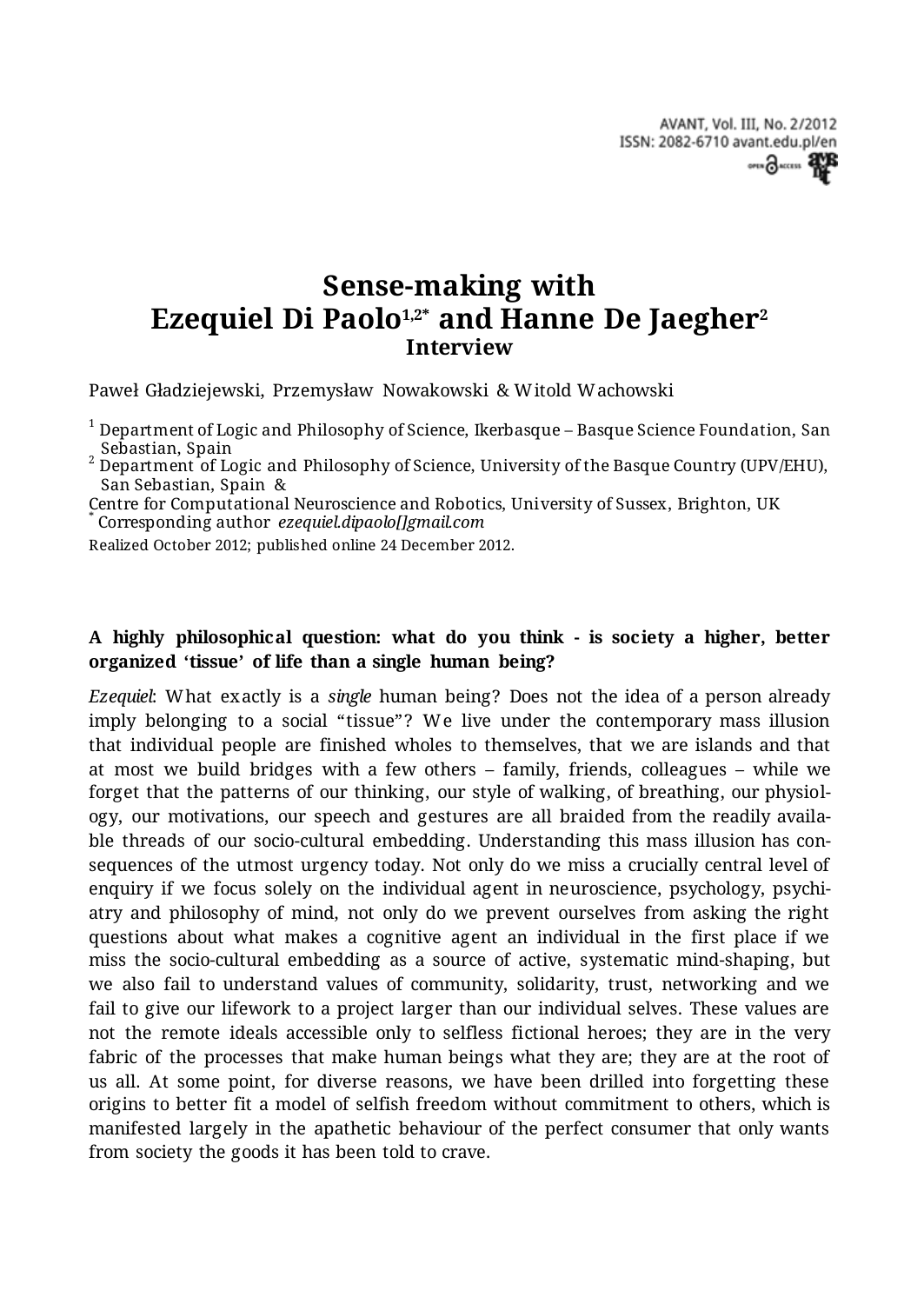AVANT, Vol. III, No. 2/2012 ISSN: 2082-6710 avant.edu.pl/en over 3 ACCESS 2NB

# **Sense-making with Ezequiel Di Paolo1,2\* and Hanne De Jaegher<sup>2</sup> Interview**

Paweł Gładziejewski, Przemysław Nowakowski & Witold Wachowski

 $^{\rm 1}$  Department of Logic and Philosophy of Science, Ikerbasque – Basque Science Foundation, San

<sub>,</sub> Sebastian, Spain<br><sup>2</sup> Department of Logic and Philosophy of Science, University of the Basque Country (UPV/EHU), San Sebastian, Spain &

Centre for Computational Neuroscience and Robotics, University of Sussex, Brighton, UK \* Corresponding author *ezequiel.dipaolo[]gmail.com*

Realized October 2012; published online 24 December 2012.

#### **A highly philosophical question: what do you think - is society a higher, better organized 'tissue' of life than a single human being?**

*Ezequiel*: What exactly is a *single* human being? Does not the idea of a person already imply belonging to a social "tissue"? We live under the contemporary mass illusion that individual people are finished wholes to themselves, that we are islands and that at most we build bridges with a few others – family, friends, colleagues – while we forget that the patterns of our thinking, our style of walking, of breathing, our physiology, our motivations, our speech and gestures are all braided from the readily available threads of our socio-cultural embedding. Understanding this mass illusion has consequences of the utmost urgency today. Not only do we miss a crucially central level of enquiry if we focus solely on the individual agent in neuroscience, psychology, psychiatry and philosophy of mind, not only do we prevent ourselves from asking the right questions about what makes a cognitive agent an individual in the first place if we miss the socio-cultural embedding as a source of active, systematic mind-shaping, but we also fail to understand values of community, solidarity, trust, networking and we fail to give our lifework to a project larger than our individual selves. These values are not the remote ideals accessible only to selfless fictional heroes; they are in the very fabric of the processes that make human beings what they are; they are at the root of us all. At some point, for diverse reasons, we have been drilled into forgetting these origins to better fit a model of selfish freedom without commitment to others, which is manifested largely in the apathetic behaviour of the perfect consumer that only wants from society the goods it has been told to crave.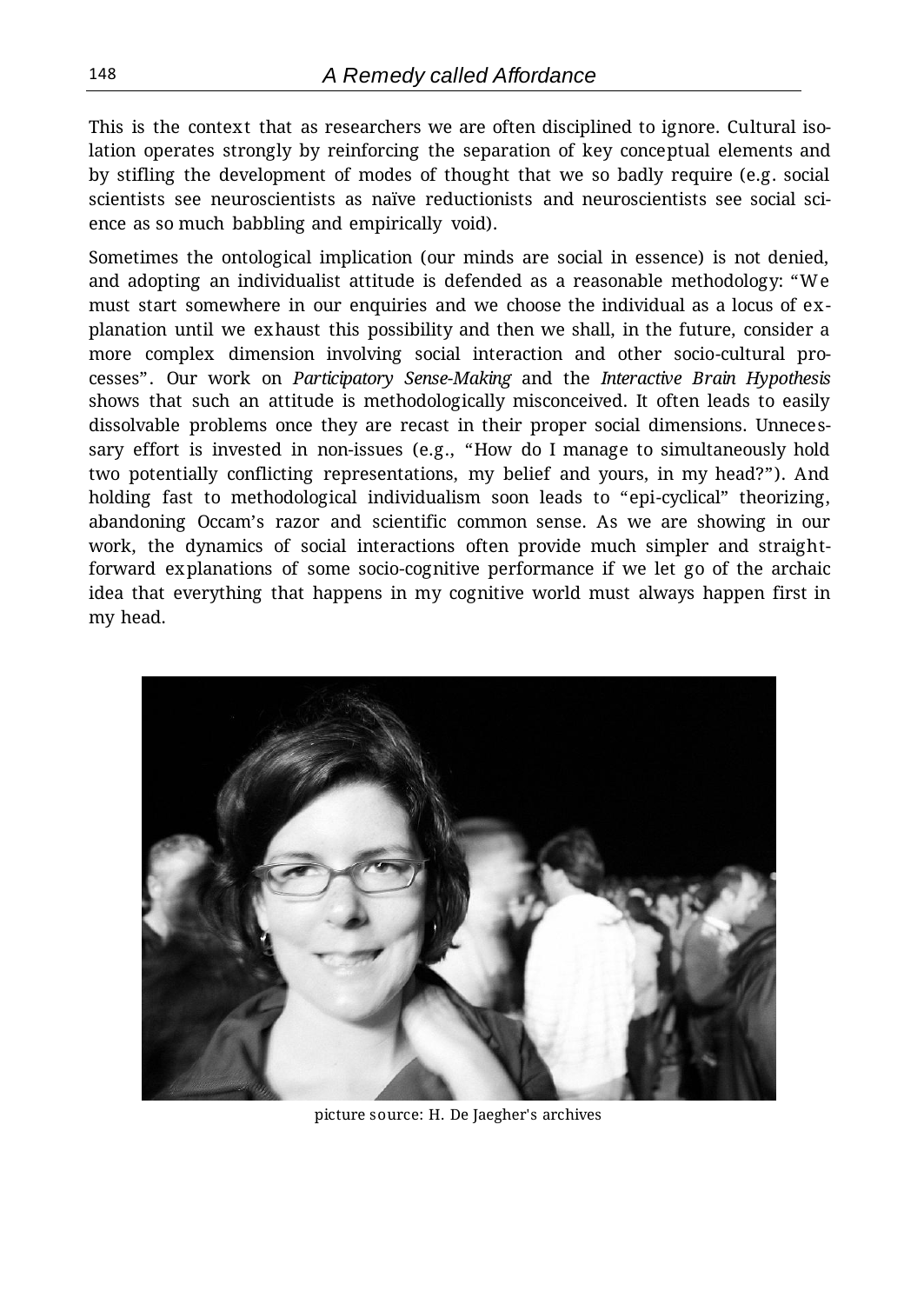This is the context that as researchers we are often disciplined to ignore. Cultural isolation operates strongly by reinforcing the separation of key conceptual elements and by stifling the development of modes of thought that we so badly require (e.g. social scientists see neuroscientists as naïve reductionists and neuroscientists see social science as so much babbling and empirically void).

Sometimes the ontological implication (our minds are social in essence) is not denied, and adopting an individualist attitude is defended as a reasonable methodology: "We must start somewhere in our enquiries and we choose the individual as a locus of explanation until we exhaust this possibility and then we shall, in the future, consider a more complex dimension involving social interaction and other socio-cultural processes". Our work on *Participatory Sense-Making* and the *Interactive Brain Hypothesis*  shows that such an attitude is methodologically misconceived. It often leads to easily dissolvable problems once they are recast in their proper social dimensions. Unnecessary effort is invested in non-issues (e.g., "How do I manage to simultaneously hold two potentially conflicting representations, my belief and yours, in my head?"). And holding fast to methodological individualism soon leads to "epi-cyclical" theorizing, abandoning Occam's razor and scientific common sense. As we are showing in our work, the dynamics of social interactions often provide much simpler and straightforward explanations of some socio-cognitive performance if we let go of the archaic idea that everything that happens in my cognitive world must always happen first in my head.



picture source: H. De Jaegher's archives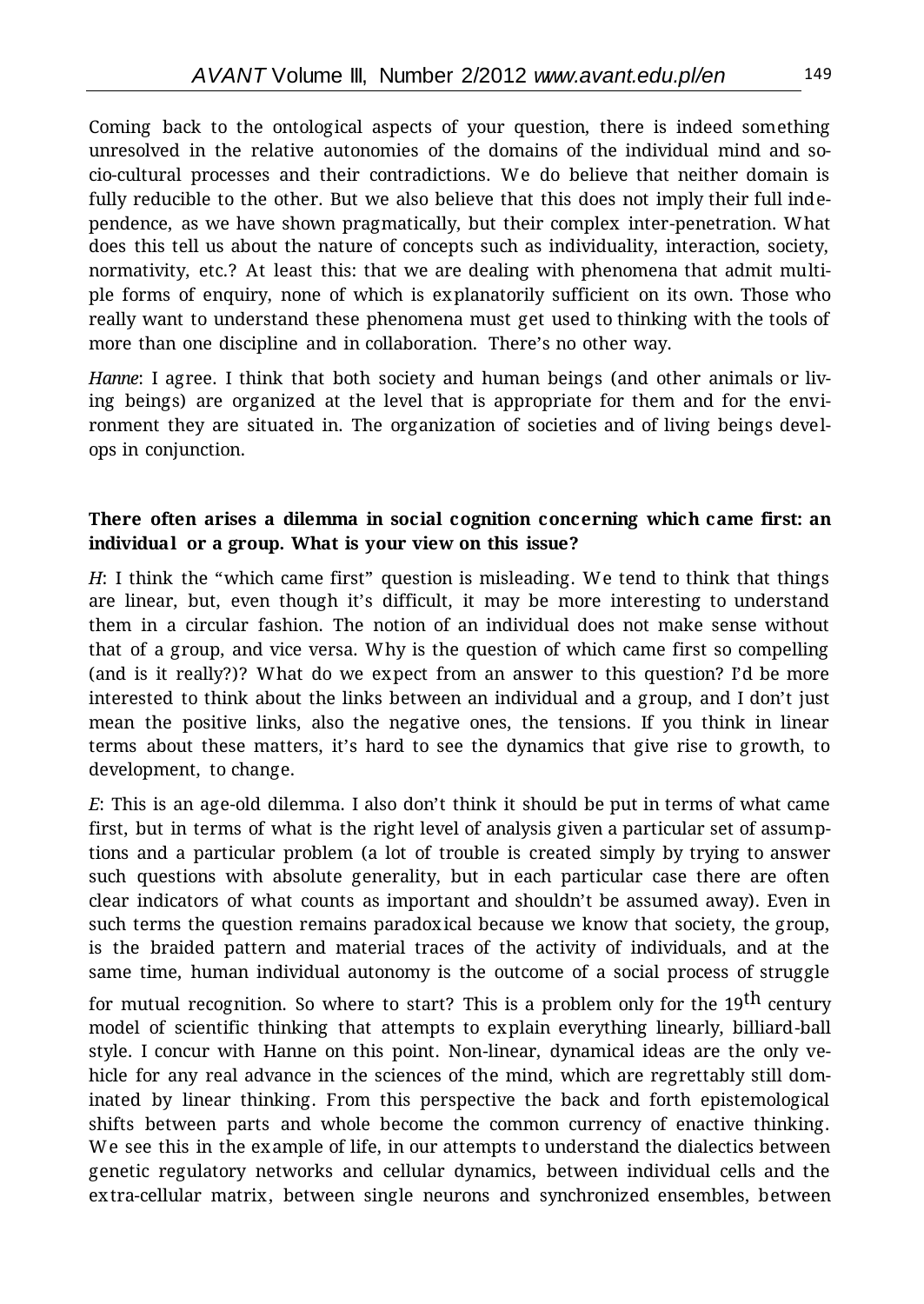Coming back to the ontological aspects of your question, there is indeed something unresolved in the relative autonomies of the domains of the individual mind and socio-cultural processes and their contradictions. We do believe that neither domain is fully reducible to the other. But we also believe that this does not imply their full independence, as we have shown pragmatically, but their complex inter-penetration. What does this tell us about the nature of concepts such as individuality, interaction, society, normativity, etc.? At least this: that we are dealing with phenomena that admit multiple forms of enquiry, none of which is explanatorily sufficient on its own. Those who really want to understand these phenomena must get used to thinking with the tools of more than one discipline and in collaboration. There's no other way.

*Hanne*: I agree. I think that both society and human beings (and other animals or living beings) are organized at the level that is appropriate for them and for the environment they are situated in. The organization of societies and of living beings develops in conjunction.

#### **There often arises a dilemma in social cognition concerning which came first: an individual or a group. What is your view on this issue?**

*H*: I think the "which came first" question is misleading. We tend to think that things are linear, but, even though it's difficult, it may be more interesting to understand them in a circular fashion. The notion of an individual does not make sense without that of a group, and vice versa. Why is the question of which came first so compelling (and is it really?)? What do we expect from an answer to this question? I'd be more interested to think about the links between an individual and a group, and I don't just mean the positive links, also the negative ones, the tensions. If you think in linear terms about these matters, it's hard to see the dynamics that give rise to growth, to development, to change.

*E*: This is an age-old dilemma. I also don't think it should be put in terms of what came first, but in terms of what is the right level of analysis given a particular set of assumptions and a particular problem (a lot of trouble is created simply by trying to answer such questions with absolute generality, but in each particular case there are often clear indicators of what counts as important and shouldn't be assumed away). Even in such terms the question remains paradoxical because we know that society, the group, is the braided pattern and material traces of the activity of individuals, and at the same time, human individual autonomy is the outcome of a social process of struggle

for mutual recognition. So where to start? This is a problem only for the 19<sup>th</sup> century model of scientific thinking that attempts to explain everything linearly, billiard-ball style. I concur with Hanne on this point. Non-linear, dynamical ideas are the only vehicle for any real advance in the sciences of the mind, which are regrettably still dominated by linear thinking. From this perspective the back and forth epistemological shifts between parts and whole become the common currency of enactive thinking. We see this in the example of life, in our attempts to understand the dialectics between genetic regulatory networks and cellular dynamics, between individual cells and the extra-cellular matrix, between single neurons and synchronized ensembles, between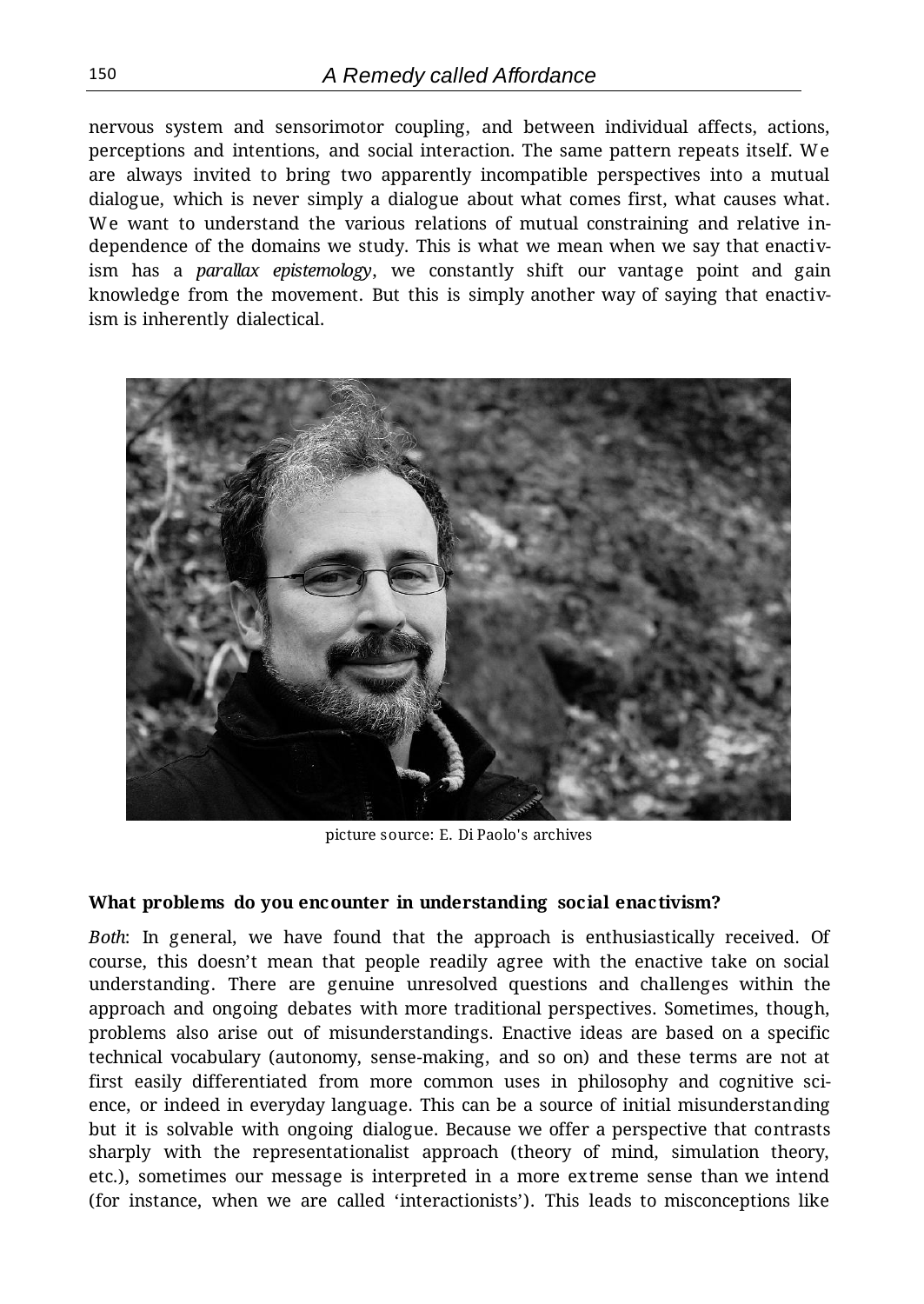nervous system and sensorimotor coupling, and between individual affects, actions, perceptions and intentions, and social interaction. The same pattern repeats itself. We are always invited to bring two apparently incompatible perspectives into a mutual dialogue, which is never simply a dialogue about what comes first, what causes what. We want to understand the various relations of mutual constraining and relative independence of the domains we study. This is what we mean when we say that enactivism has a *parallax epistemology*, we constantly shift our vantage point and gain knowledge from the movement. But this is simply another way of saying that enactivism is inherently dialectical.



picture source: E. Di Paolo's archives

#### **What problems do you encounter in understanding social enactivism?**

*Both*: In general, we have found that the approach is enthusiastically received. Of course, this doesn't mean that people readily agree with the enactive take on social understanding. There are genuine unresolved questions and challenges within the approach and ongoing debates with more traditional perspectives. Sometimes, though, problems also arise out of misunderstandings. Enactive ideas are based on a specific technical vocabulary (autonomy, sense-making, and so on) and these terms are not at first easily differentiated from more common uses in philosophy and cognitive science, or indeed in everyday language. This can be a source of initial misunderstanding but it is solvable with ongoing dialogue. Because we offer a perspective that contrasts sharply with the representationalist approach (theory of mind, simulation theory, etc.), sometimes our message is interpreted in a more extreme sense than we intend (for instance, when we are called 'interactionists'). This leads to misconceptions like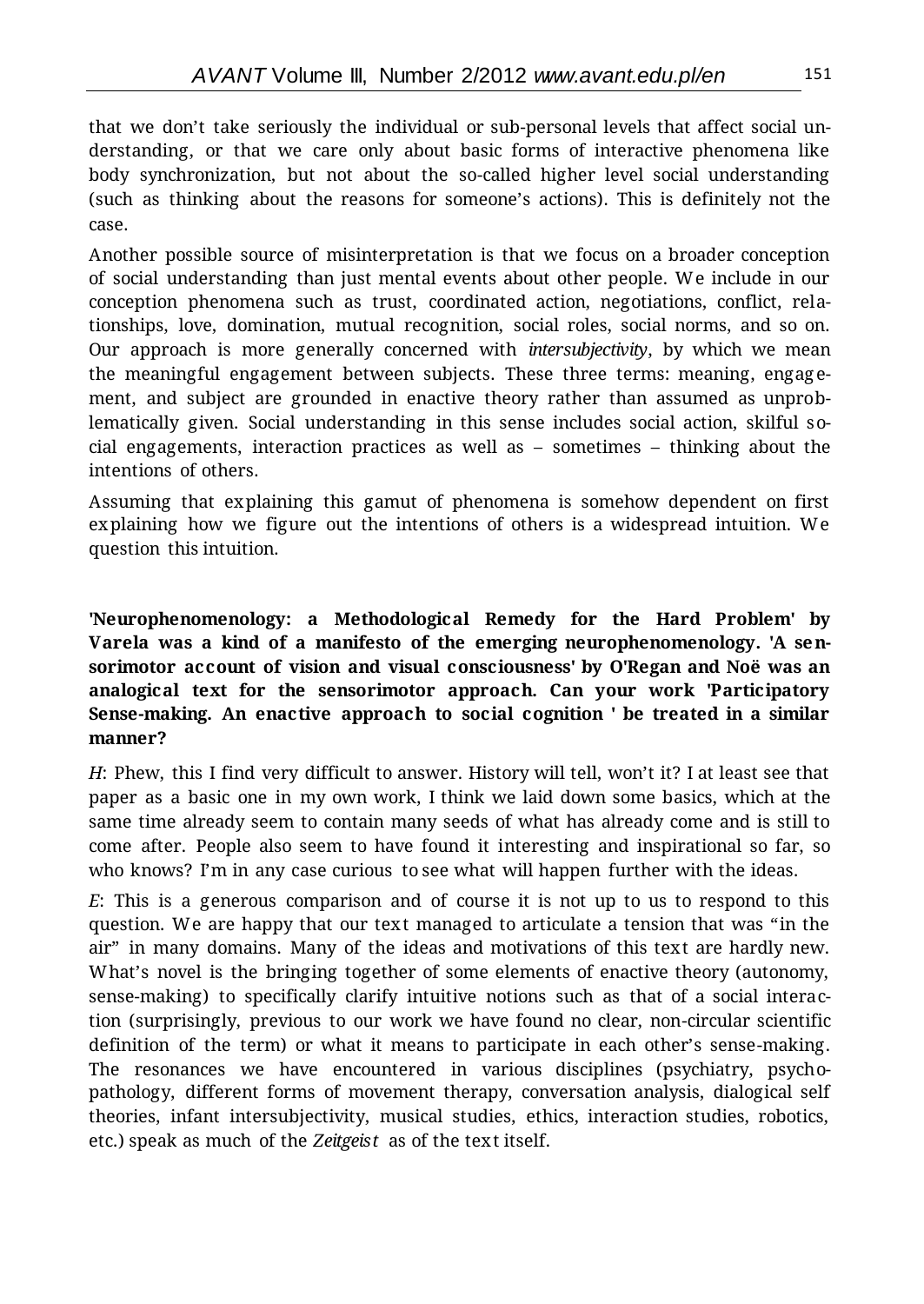that we don't take seriously the individual or sub-personal levels that affect social understanding, or that we care only about basic forms of interactive phenomena like body synchronization, but not about the so-called higher level social understanding (such as thinking about the reasons for someone's actions). This is definitely not the case.

Another possible source of misinterpretation is that we focus on a broader conception of social understanding than just mental events about other people. We include in our conception phenomena such as trust, coordinated action, negotiations, conflict, relationships, love, domination, mutual recognition, social roles, social norms, and so on. Our approach is more generally concerned with *intersubjectivity*, by which we mean the meaningful engagement between subjects. These three terms: meaning, engag ement, and subject are grounded in enactive theory rather than assumed as unproblematically given. Social understanding in this sense includes social action, skilful social engagements, interaction practices as well as – sometimes – thinking about the intentions of others.

Assuming that explaining this gamut of phenomena is somehow dependent on first explaining how we figure out the intentions of others is a widespread intuition. We question this intuition.

**'Neurophenomenology: a Methodological Remedy for the Hard Problem' by Varela was a kind of a manifesto of the emerging neurophenomenology. 'A sensorimotor account of vision and visual consciousness' by O'Regan and Noë was an analogical text for the sensorimotor approach. Can your work 'Participatory Sense-making. An enactive approach to social cognition ' be treated in a similar manner?**

*H*: Phew, this I find very difficult to answer. History will tell, won't it? I at least see that paper as a basic one in my own work, I think we laid down some basics, which at the same time already seem to contain many seeds of what has already come and is still to come after. People also seem to have found it interesting and inspirational so far, so who knows? I'm in any case curious to see what will happen further with the ideas.

*E*: This is a generous comparison and of course it is not up to us to respond to this question. We are happy that our text managed to articulate a tension that was "in the air" in many domains. Many of the ideas and motivations of this text are hardly new. What's novel is the bringing together of some elements of enactive theory (autonomy, sense-making) to specifically clarify intuitive notions such as that of a social interaction (surprisingly, previous to our work we have found no clear, non-circular scientific definition of the term) or what it means to participate in each other's sense-making. The resonances we have encountered in various disciplines (psychiatry, psychopathology, different forms of movement therapy, conversation analysis, dialogical self theories, infant intersubjectivity, musical studies, ethics, interaction studies, robotics, etc.) speak as much of the *Zeitgeist* as of the text itself.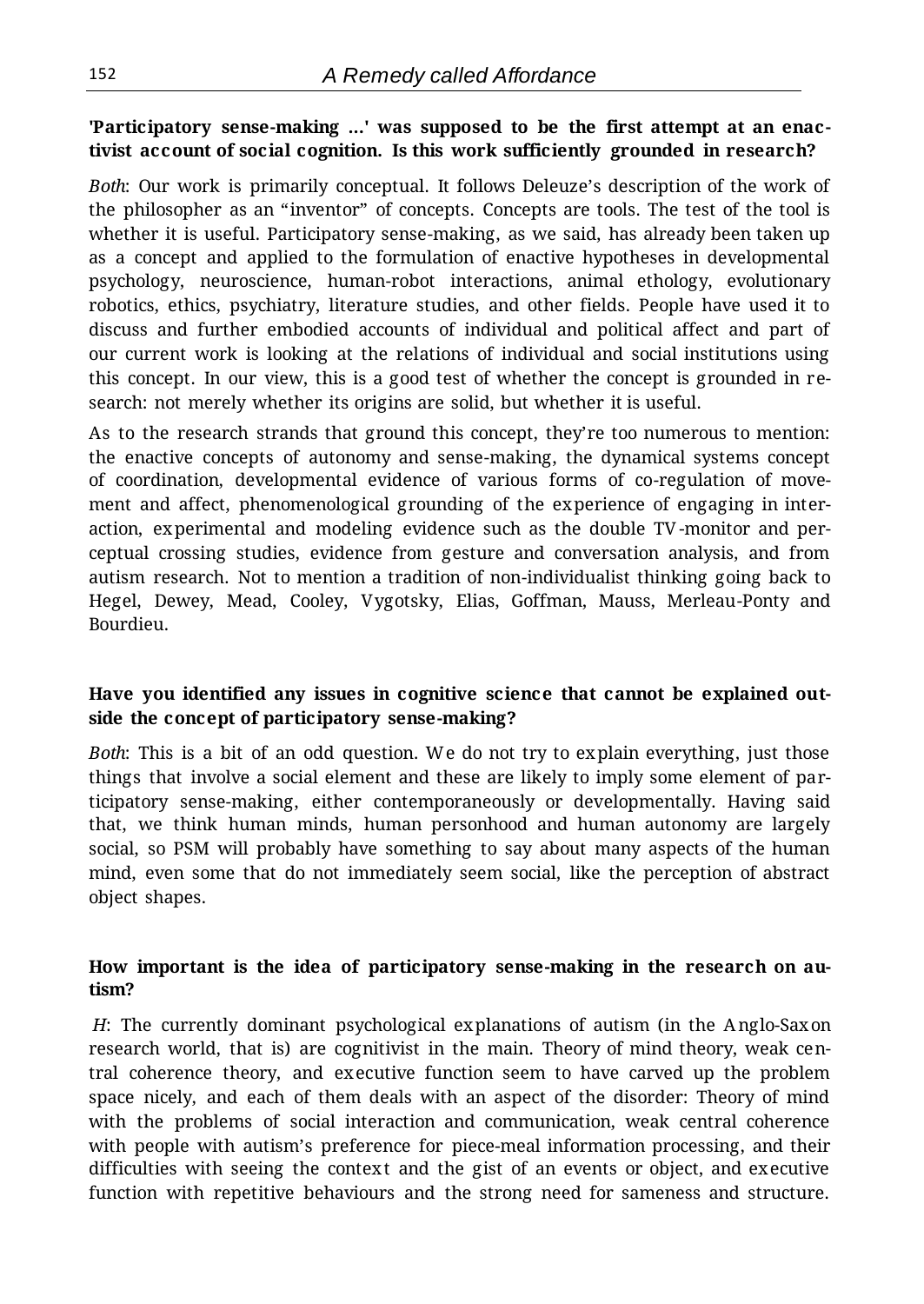#### **'Participatory sense-making ...' was supposed to be the first attempt at an enactivist account of social cognition. Is this work sufficiently grounded in research?**

*Both*: Our work is primarily conceptual. It follows Deleuze's description of the work of the philosopher as an "inventor" of concepts. Concepts are tools. The test of the tool is whether it is useful. Participatory sense-making, as we said, has already been taken up as a concept and applied to the formulation of enactive hypotheses in developmental psychology, neuroscience, human-robot interactions, animal ethology, evolutionary robotics, ethics, psychiatry, literature studies, and other fields. People have used it to discuss and further embodied accounts of individual and political affect and part of our current work is looking at the relations of individual and social institutions using this concept. In our view, this is a good test of whether the concept is grounded in research: not merely whether its origins are solid, but whether it is useful.

As to the research strands that ground this concept, they're too numerous to mention: the enactive concepts of autonomy and sense-making, the dynamical systems concept of coordination, developmental evidence of various forms of co-regulation of movement and affect, phenomenological grounding of the experience of engaging in interaction, experimental and modeling evidence such as the double TV-monitor and perceptual crossing studies, evidence from gesture and conversation analysis, and from autism research. Not to mention a tradition of non-individualist thinking going back to Hegel, Dewey, Mead, Cooley, Vygotsky, Elias, Goffman, Mauss, Merleau-Ponty and Bourdieu.

#### **Have you identified any issues in cognitive science that cannot be explained outside the concept of participatory sense-making?**

*Both*: This is a bit of an odd question. We do not try to explain everything, just those things that involve a social element and these are likely to imply some element of participatory sense-making, either contemporaneously or developmentally. Having said that, we think human minds, human personhood and human autonomy are largely social, so PSM will probably have something to say about many aspects of the human mind, even some that do not immediately seem social, like the perception of abstract object shapes.

#### **How important is the idea of participatory sense-making in the research on autism?**

*H*: The currently dominant psychological explanations of autism (in the Anglo-Saxon research world, that is) are cognitivist in the main. Theory of mind theory, weak central coherence theory, and executive function seem to have carved up the problem space nicely, and each of them deals with an aspect of the disorder: Theory of mind with the problems of social interaction and communication, weak central coherence with people with autism's preference for piece-meal information processing, and their difficulties with seeing the context and the gist of an events or object, and executive function with repetitive behaviours and the strong need for sameness and structure.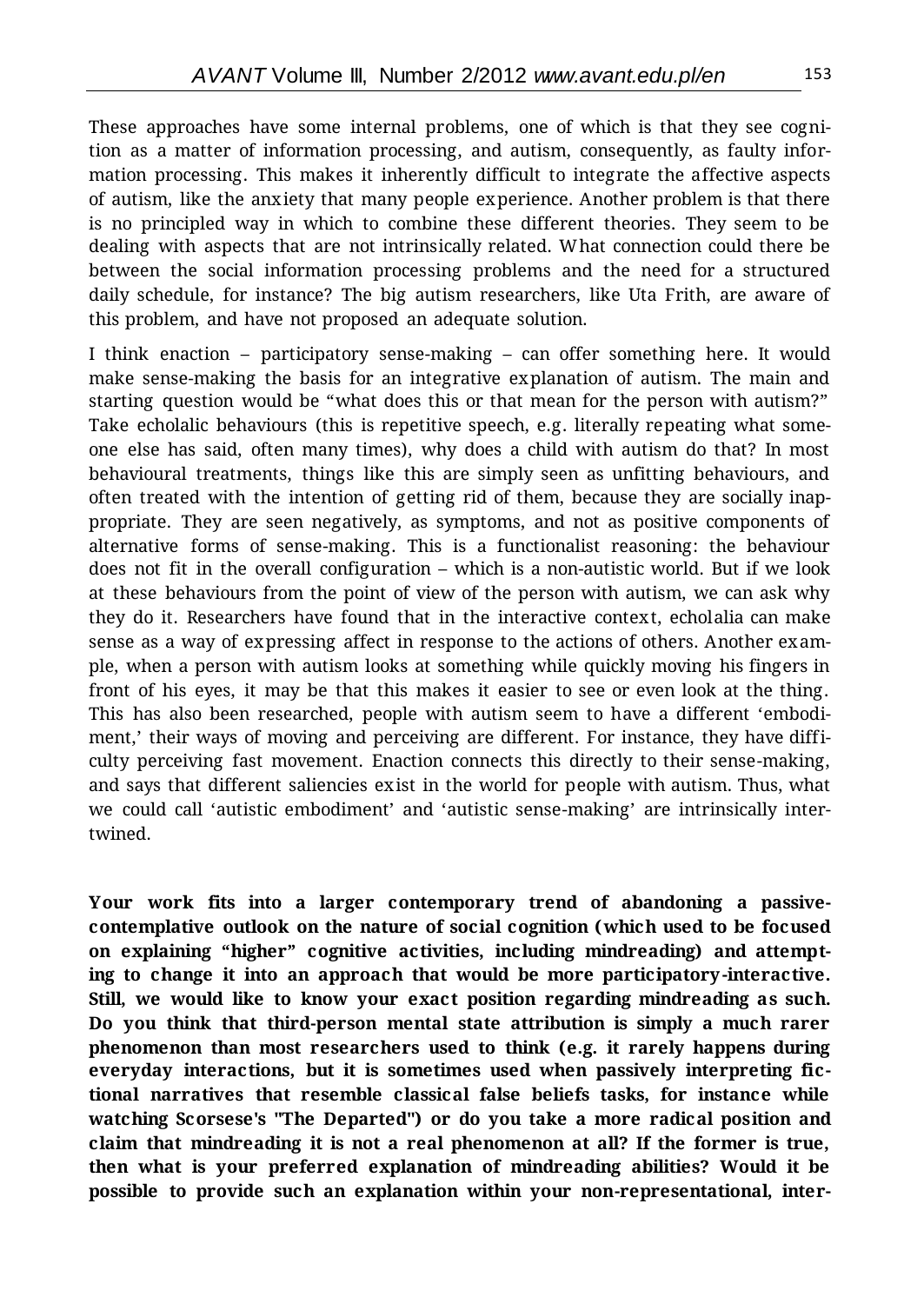These approaches have some internal problems, one of which is that they see cognition as a matter of information processing, and autism, consequently, as faulty information processing. This makes it inherently difficult to integrate the affective aspects of autism, like the anxiety that many people experience. Another problem is that there is no principled way in which to combine these different theories. They seem to be dealing with aspects that are not intrinsically related. What connection could there be between the social information processing problems and the need for a structured daily schedule, for instance? The big autism researchers, like Uta Frith, are aware of this problem, and have not proposed an adequate solution.

I think enaction – participatory sense-making – can offer something here. It would make sense-making the basis for an integrative explanation of autism. The main and starting question would be "what does this or that mean for the person with autism?" Take echolalic behaviours (this is repetitive speech, e.g. literally repeating what someone else has said, often many times), why does a child with autism do that? In most behavioural treatments, things like this are simply seen as unfitting behaviours, and often treated with the intention of getting rid of them, because they are socially inappropriate. They are seen negatively, as symptoms, and not as positive components of alternative forms of sense-making. This is a functionalist reasoning: the behaviour does not fit in the overall configuration – which is a non-autistic world. But if we look at these behaviours from the point of view of the person with autism, we can ask why they do it. Researchers have found that in the interactive context, echolalia can make sense as a way of expressing affect in response to the actions of others. Another example, when a person with autism looks at something while quickly moving his fingers in front of his eyes, it may be that this makes it easier to see or even look at the thing. This has also been researched, people with autism seem to have a different 'embodiment,' their ways of moving and perceiving are different. For instance, they have difficulty perceiving fast movement. Enaction connects this directly to their sense-making, and says that different saliencies exist in the world for people with autism. Thus, what we could call 'autistic embodiment' and 'autistic sense-making' are intrinsically intertwined.

**Your work fits into a larger contemporary trend of abandoning a passivecontemplative outlook on the nature of social cognition (which used to be focused on explaining "higher" cognitive activities, including mindreading) and attempting to change it into an approach that would be more participatory-interactive. Still, we would like to know your exact position regarding mindreading as such. Do you think that third-person mental state attribution is simply a much rarer phenomenon than most researchers used to think (e.g. it rarely happens during everyday interactions, but it is sometimes used when passively interpreting fictional narratives that resemble classical false beliefs tasks, for instance while watching Scorsese's "The Departed") or do you take a more radical position and claim that mindreading it is not a real phenomenon at all? If the former is true, then what is your preferred explanation of mindreading abilities? Would it be possible to provide such an explanation within your non-representational, inter-**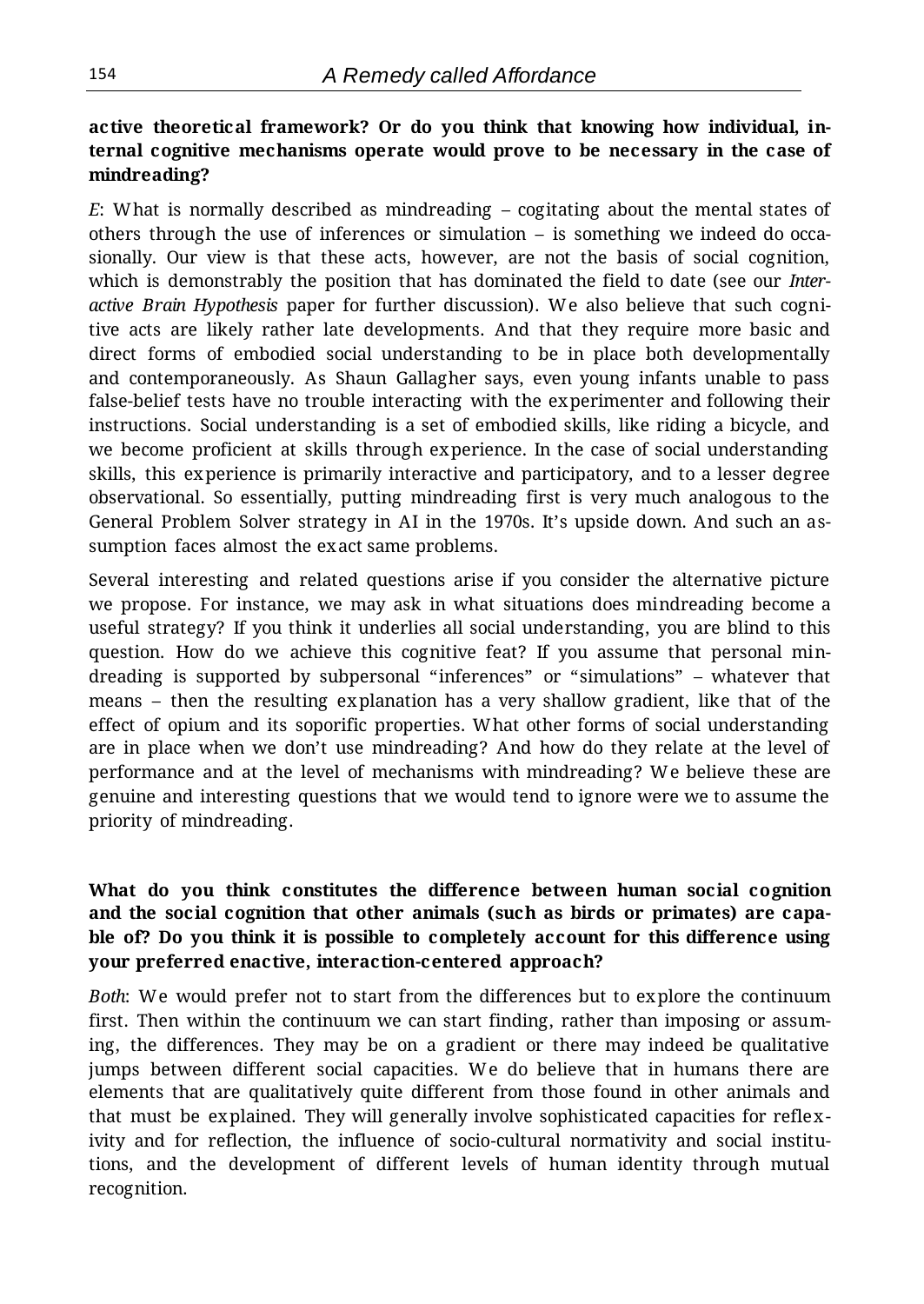# **active theoretical framework? Or do you think that knowing how individual, internal cognitive mechanisms operate would prove to be necessary in the case of mindreading?**

*E*: What is normally described as mindreading – cogitating about the mental states of others through the use of inferences or simulation – is something we indeed do occasionally. Our view is that these acts, however, are not the basis of social cognition, which is demonstrably the position that has dominated the field to date (see our *Interactive Brain Hypothesis* paper for further discussion). We also believe that such cognitive acts are likely rather late developments. And that they require more basic and direct forms of embodied social understanding to be in place both developmentally and contemporaneously. As Shaun Gallagher says, even young infants unable to pass false-belief tests have no trouble interacting with the experimenter and following their instructions. Social understanding is a set of embodied skills, like riding a bicycle, and we become proficient at skills through experience. In the case of social understanding skills, this experience is primarily interactive and participatory, and to a lesser degree observational. So essentially, putting mindreading first is very much analogous to the General Problem Solver strategy in AI in the 1970s. It's upside down. And such an assumption faces almost the exact same problems.

Several interesting and related questions arise if you consider the alternative picture we propose. For instance, we may ask in what situations does mindreading become a useful strategy? If you think it underlies all social understanding, you are blind to this question. How do we achieve this cognitive feat? If you assume that personal mindreading is supported by subpersonal "inferences" or "simulations" – whatever that means – then the resulting explanation has a very shallow gradient, like that of the effect of opium and its soporific properties. What other forms of social understanding are in place when we don't use mindreading? And how do they relate at the level of performance and at the level of mechanisms with mindreading? We believe these are genuine and interesting questions that we would tend to ignore were we to assume the priority of mindreading.

## **What do you think constitutes the difference between human social cognition and the social cognition that other animals (such as birds or primates) are capable of? Do you think it is possible to completely account for this difference using your preferred enactive, interaction-centered approach?**

*Both*: We would prefer not to start from the differences but to explore the continuum first. Then within the continuum we can start finding, rather than imposing or assuming, the differences. They may be on a gradient or there may indeed be qualitative jumps between different social capacities. We do believe that in humans there are elements that are qualitatively quite different from those found in other animals and that must be explained. They will generally involve sophisticated capacities for reflexivity and for reflection, the influence of socio-cultural normativity and social institutions, and the development of different levels of human identity through mutual recognition.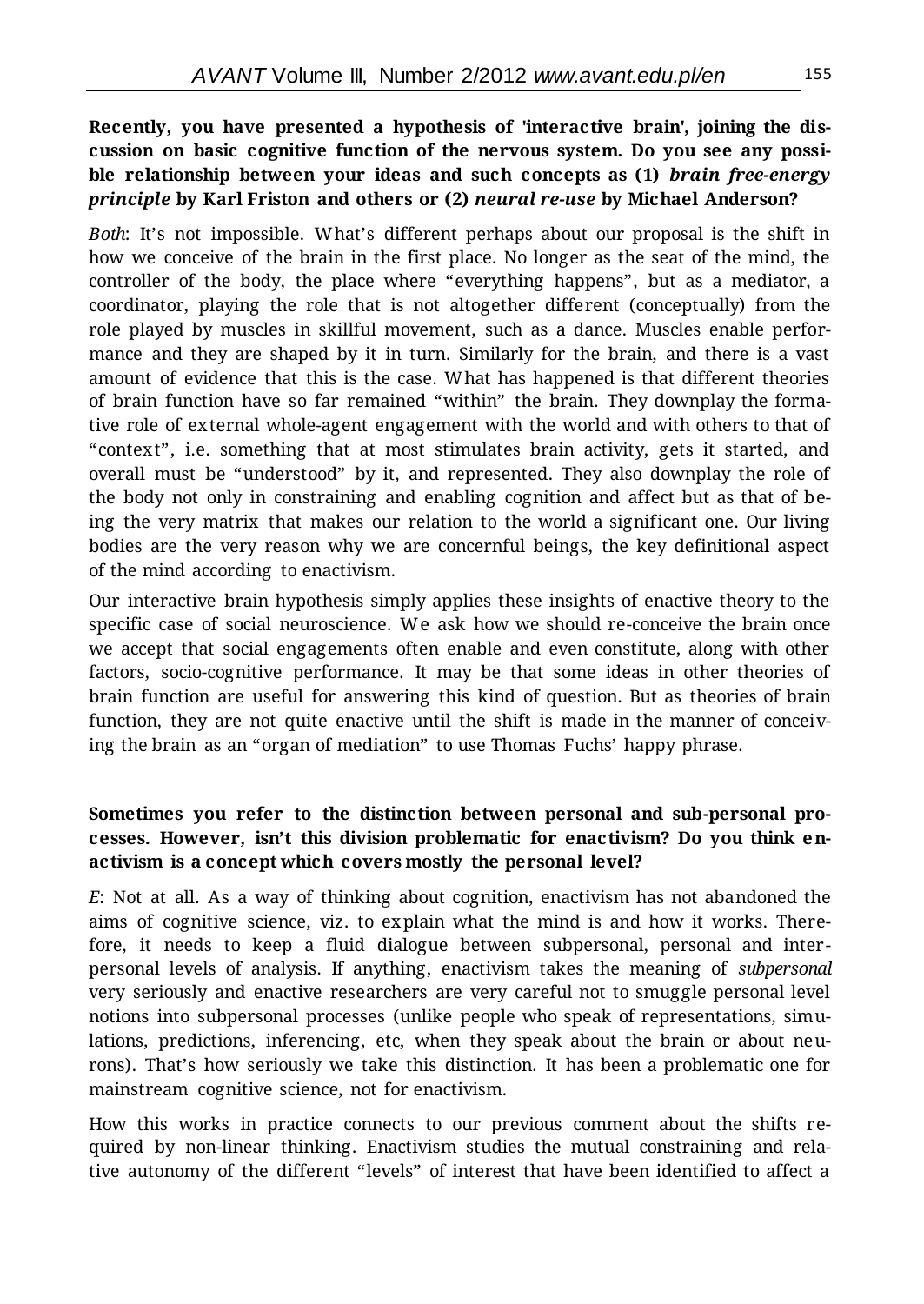### **Recently, you have presented a hypothesis of 'interactive brain', joining the discussion on basic cognitive function of the nervous system. Do you see any possible relationship between your ideas and such concepts as (1)** *brain free-energy principle* **by Karl Friston and others or (2)** *neural re-use* **by Michael Anderson?**

*Both*: It's not impossible. What's different perhaps about our proposal is the shift in how we conceive of the brain in the first place. No longer as the seat of the mind, the controller of the body, the place where "everything happens", but as a mediator, a coordinator, playing the role that is not altogether different (conceptually) from the role played by muscles in skillful movement, such as a dance. Muscles enable performance and they are shaped by it in turn. Similarly for the brain, and there is a vast amount of evidence that this is the case. What has happened is that different theories of brain function have so far remained "within" the brain. They downplay the formative role of external whole-agent engagement with the world and with others to that of "context", i.e. something that at most stimulates brain activity, gets it started, and overall must be "understood" by it, and represented. They also downplay the role of the body not only in constraining and enabling cognition and affect but as that of being the very matrix that makes our relation to the world a significant one. Our living bodies are the very reason why we are concernful beings, the key definitional aspect of the mind according to enactivism.

Our interactive brain hypothesis simply applies these insights of enactive theory to the specific case of social neuroscience. We ask how we should re-conceive the brain once we accept that social engagements often enable and even constitute, along with other factors, socio-cognitive performance. It may be that some ideas in other theories of brain function are useful for answering this kind of question. But as theories of brain function, they are not quite enactive until the shift is made in the manner of conceiving the brain as an "organ of mediation" to use Thomas Fuchs' happy phrase.

#### **Sometimes you refer to the distinction between personal and sub-personal processes. However, isn't this division problematic for enactivism? Do you think enactivism is a concept which covers mostly the personal level?**

*E*: Not at all. As a way of thinking about cognition, enactivism has not abandoned the aims of cognitive science, viz. to explain what the mind is and how it works. Therefore, it needs to keep a fluid dialogue between subpersonal, personal and interpersonal levels of analysis. If anything, enactivism takes the meaning of *subpersonal* very seriously and enactive researchers are very careful not to smuggle personal level notions into subpersonal processes (unlike people who speak of representations, simulations, predictions, inferencing, etc, when they speak about the brain or about neurons). That's how seriously we take this distinction. It has been a problematic one for mainstream cognitive science, not for enactivism.

How this works in practice connects to our previous comment about the shifts required by non-linear thinking. Enactivism studies the mutual constraining and relative autonomy of the different "levels" of interest that have been identified to affect a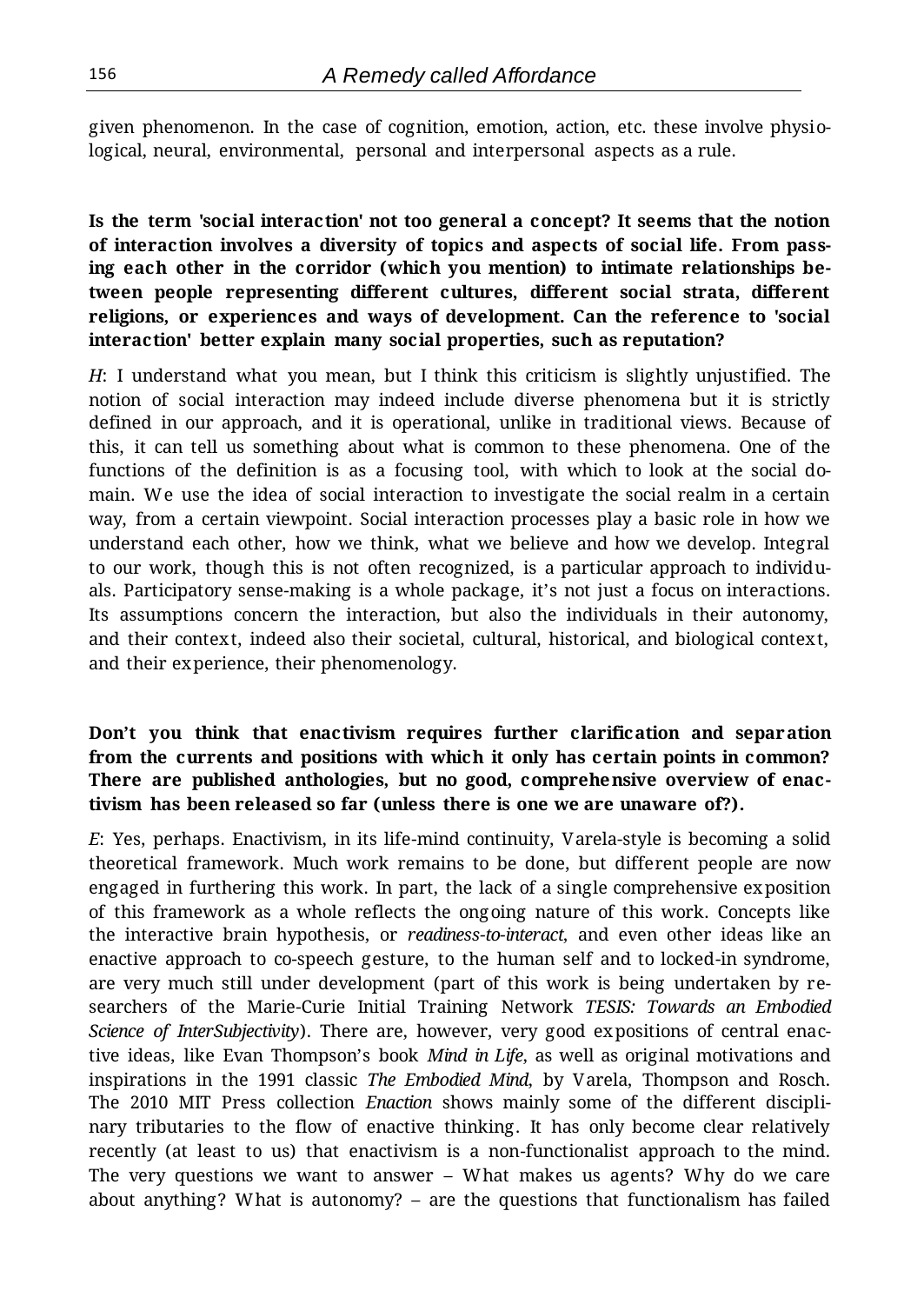given phenomenon. In the case of cognition, emotion, action, etc. these involve physiological, neural, environmental, personal and interpersonal aspects as a rule.

## **Is the term 'social interaction' not too general a concept? It seems that the notion of interaction involves a diversity of topics and aspects of social life. From passing each other in the corridor (which you mention) to intimate relationships between people representing different cultures, different social strata, different religions, or experiences and ways of development. Can the reference to 'social interaction' better explain many social properties, such as reputation?**

*H*: I understand what you mean, but I think this criticism is slightly unjustified. The notion of social interaction may indeed include diverse phenomena but it is strictly defined in our approach, and it is operational, unlike in traditional views. Because of this, it can tell us something about what is common to these phenomena. One of the functions of the definition is as a focusing tool, with which to look at the social domain. We use the idea of social interaction to investigate the social realm in a certain way, from a certain viewpoint. Social interaction processes play a basic role in how we understand each other, how we think, what we believe and how we develop. Integral to our work, though this is not often recognized, is a particular approach to individuals. Participatory sense-making is a whole package, it's not just a focus on interactions. Its assumptions concern the interaction, but also the individuals in their autonomy, and their context, indeed also their societal, cultural, historical, and biological context, and their experience, their phenomenology.

## **Don't you think that enactivism requires further clarification and separation from the currents and positions with which it only has certain points in common? There are published anthologies, but no good, comprehensive overview of enactivism has been released so far (unless there is one we are unaware of?).**

*E*: Yes, perhaps. Enactivism, in its life-mind continuity, Varela-style is becoming a solid theoretical framework. Much work remains to be done, but different people are now engaged in furthering this work. In part, the lack of a single comprehensive exposition of this framework as a whole reflects the ongoing nature of this work. Concepts like the interactive brain hypothesis, or *readiness-to-interact*, and even other ideas like an enactive approach to co-speech gesture, to the human self and to locked-in syndrome, are very much still under development (part of this work is being undertaken by researchers of the Marie-Curie Initial Training Network *TESIS: Towards an Embodied Science of InterSubjectivity*). There are, however, very good expositions of central enactive ideas, like Evan Thompson's book *Mind in Life*, as well as original motivations and inspirations in the 1991 classic *The Embodied Mind*, by Varela, Thompson and Rosch. The 2010 MIT Press collection *Enaction* shows mainly some of the different disciplinary tributaries to the flow of enactive thinking. It has only become clear relatively recently (at least to us) that enactivism is a non-functionalist approach to the mind. The very questions we want to answer – What makes us agents? Why do we care about anything? What is autonomy? – are the questions that functionalism has failed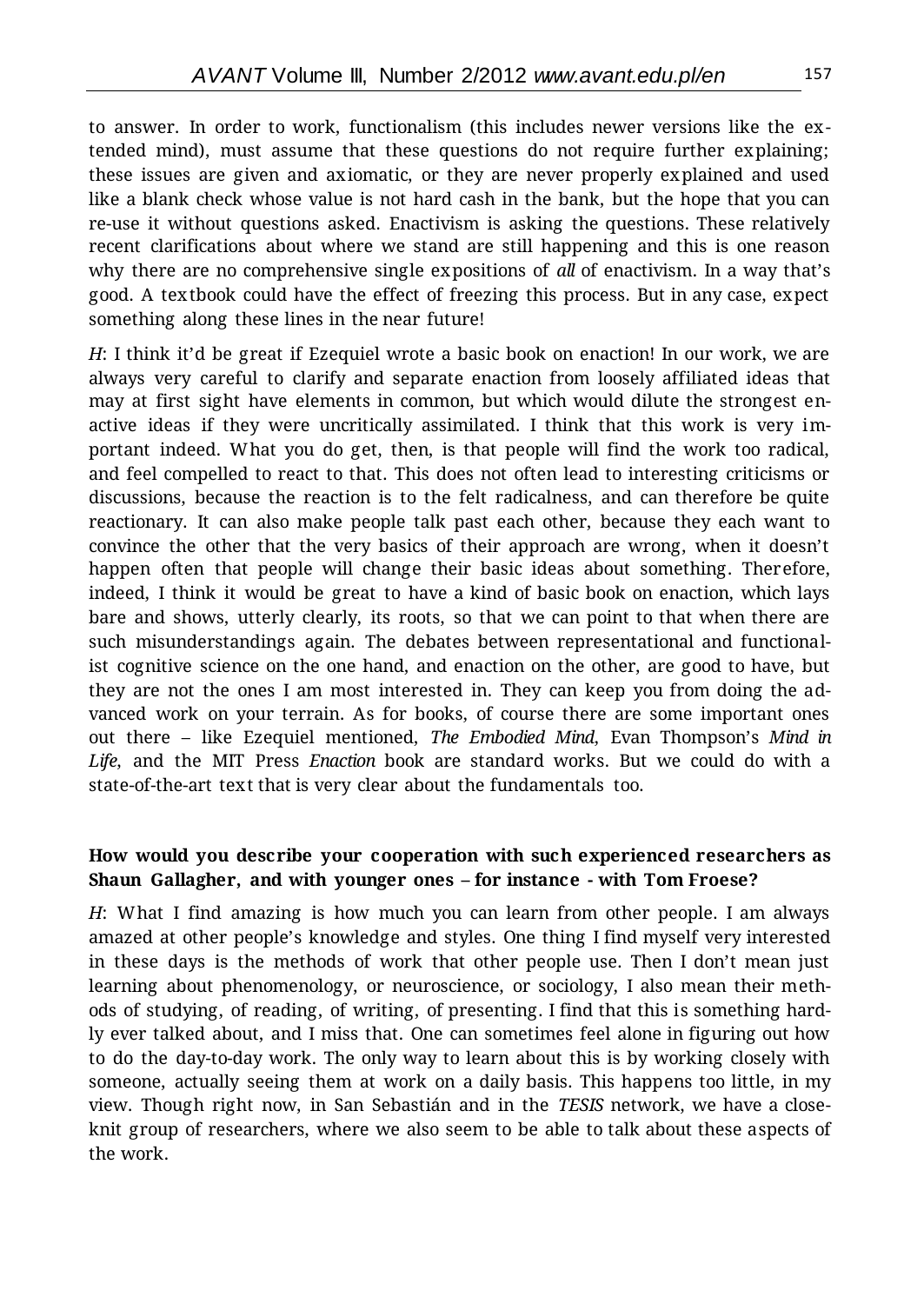to answer. In order to work, functionalism (this includes newer versions like the extended mind), must assume that these questions do not require further explaining; these issues are given and axiomatic, or they are never properly explained and used like a blank check whose value is not hard cash in the bank, but the hope that you can re-use it without questions asked. Enactivism is asking the questions. These relatively recent clarifications about where we stand are still happening and this is one reason why there are no comprehensive single expositions of *all* of enactivism. In a way that's good. A textbook could have the effect of freezing this process. But in any case, expect something along these lines in the near future!

*H*: I think it'd be great if Ezequiel wrote a basic book on enaction! In our work, we are always very careful to clarify and separate enaction from loosely affiliated ideas that may at first sight have elements in common, but which would dilute the strongest enactive ideas if they were uncritically assimilated. I think that this work is very important indeed. What you do get, then, is that people will find the work too radical, and feel compelled to react to that. This does not often lead to interesting criticisms or discussions, because the reaction is to the felt radicalness, and can therefore be quite reactionary. It can also make people talk past each other, because they each want to convince the other that the very basics of their approach are wrong, when it doesn't happen often that people will change their basic ideas about something. Therefore, indeed, I think it would be great to have a kind of basic book on enaction, which lays bare and shows, utterly clearly, its roots, so that we can point to that when there are such misunderstandings again. The debates between representational and functionalist cognitive science on the one hand, and enaction on the other, are good to have, but they are not the ones I am most interested in. They can keep you from doing the advanced work on your terrain. As for books, of course there are some important ones out there – like Ezequiel mentioned, *The Embodied Mind*, Evan Thompson's *Mind in Life*, and the MIT Press *Enaction* book are standard works. But we could do with a state-of-the-art text that is very clear about the fundamentals too.

#### **How would you describe your cooperation with such experienced researchers as Shaun Gallagher, and with younger ones – for instance - with Tom Froese?**

*H*: What I find amazing is how much you can learn from other people. I am always amazed at other people's knowledge and styles. One thing I find myself very interested in these days is the methods of work that other people use. Then I don't mean just learning about phenomenology, or neuroscience, or sociology, I also mean their methods of studying, of reading, of writing, of presenting. I find that this is something hardly ever talked about, and I miss that. One can sometimes feel alone in figuring out how to do the day-to-day work. The only way to learn about this is by working closely with someone, actually seeing them at work on a daily basis. This happens too little, in my view. Though right now, in San Sebastián and in the *TESIS* network, we have a closeknit group of researchers, where we also seem to be able to talk about these aspects of the work.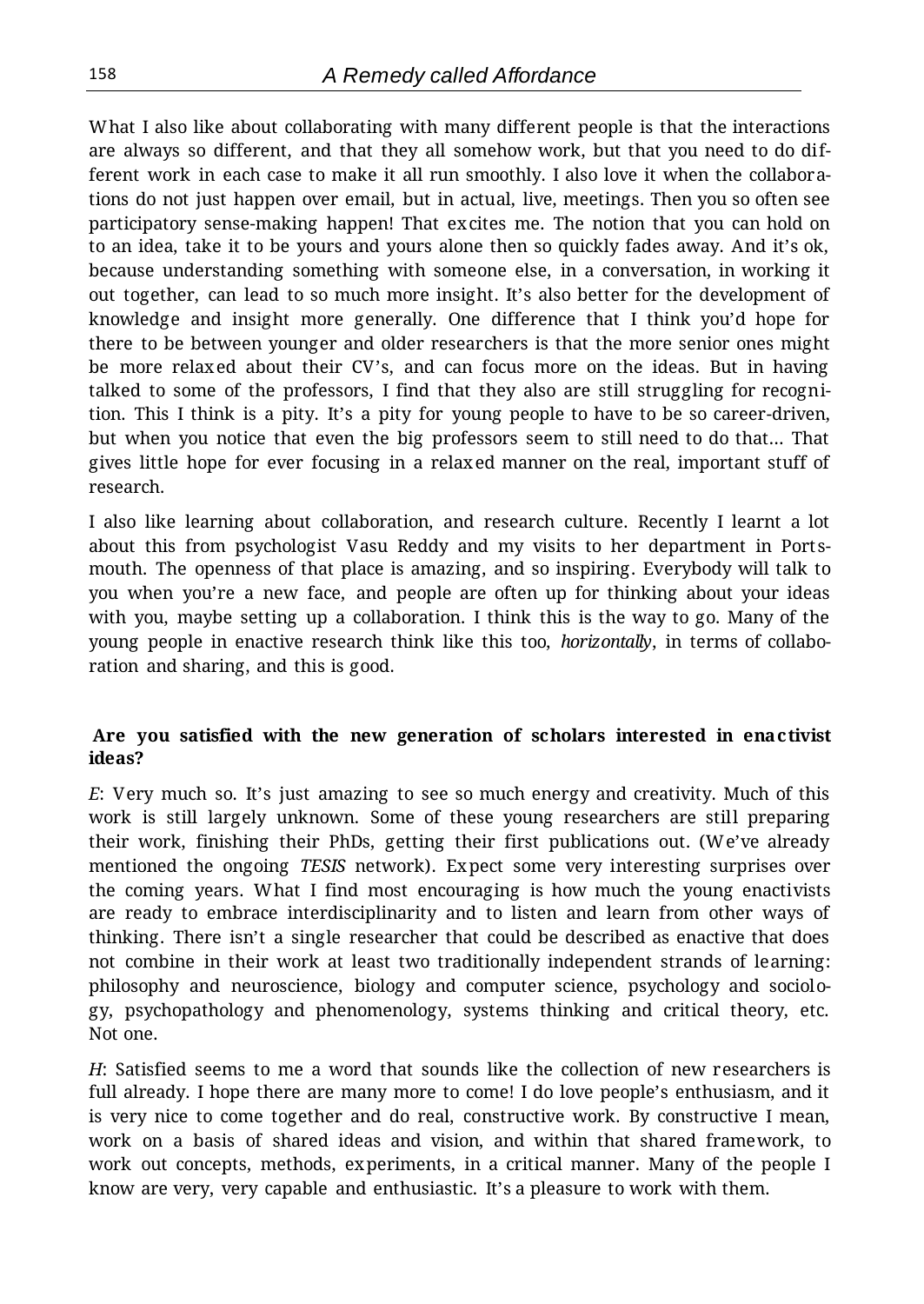What I also like about collaborating with many different people is that the interactions are always so different, and that they all somehow work, but that you need to do different work in each case to make it all run smoothly. I also love it when the collaborations do not just happen over email, but in actual, live, meetings. Then you so often see participatory sense-making happen! That excites me. The notion that you can hold on to an idea, take it to be yours and yours alone then so quickly fades away. And it's ok, because understanding something with someone else, in a conversation, in working it out together, can lead to so much more insight. It's also better for the development of knowledge and insight more generally. One difference that I think you'd hope for there to be between younger and older researchers is that the more senior ones might be more relaxed about their CV's, and can focus more on the ideas. But in having talked to some of the professors, I find that they also are still struggling for recognition. This I think is a pity. It's a pity for young people to have to be so career-driven, but when you notice that even the big professors seem to still need to do that… That gives little hope for ever focusing in a relaxed manner on the real, important stuff of research.

I also like learning about collaboration, and research culture. Recently I learnt a lot about this from psychologist Vasu Reddy and my visits to her department in Port smouth. The openness of that place is amazing, and so inspiring. Everybody will talk to you when you're a new face, and people are often up for thinking about your ideas with you, maybe setting up a collaboration. I think this is the way to go. Many of the young people in enactive research think like this too, *horizontally*, in terms of collaboration and sharing, and this is good.

#### **Are you satisfied with the new generation of scholars interested in enactivist ideas?**

*E*: Very much so. It's just amazing to see so much energy and creativity. Much of this work is still largely unknown. Some of these young researchers are still preparing their work, finishing their PhDs, getting their first publications out. (We've already mentioned the ongoing *TESIS* network). Expect some very interesting surprises over the coming years. What I find most encouraging is how much the young enactivists are ready to embrace interdisciplinarity and to listen and learn from other ways of thinking. There isn't a single researcher that could be described as enactive that does not combine in their work at least two traditionally independent strands of learning: philosophy and neuroscience, biology and computer science, psychology and sociology, psychopathology and phenomenology, systems thinking and critical theory, etc. Not one.

*H*: Satisfied seems to me a word that sounds like the collection of new researchers is full already. I hope there are many more to come! I do love people's enthusiasm, and it is very nice to come together and do real, constructive work. By constructive I mean, work on a basis of shared ideas and vision, and within that shared framework, to work out concepts, methods, experiments, in a critical manner. Many of the people I know are very, very capable and enthusiastic. It's a pleasure to work with them.